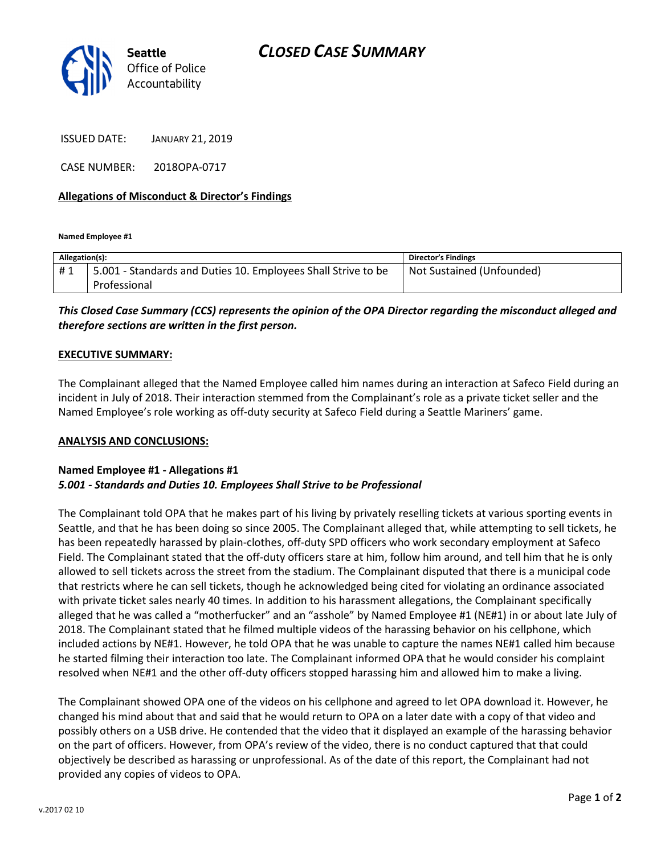



ISSUED DATE: JANUARY 21, 2019

CASE NUMBER: 2018OPA-0717

### Allegations of Misconduct & Director's Findings

Named Employee #1

| Allegation(s): |                                                               | <b>Director's Findings</b> |
|----------------|---------------------------------------------------------------|----------------------------|
| #1             | 5.001 - Standards and Duties 10. Employees Shall Strive to be | Not Sustained (Unfounded)  |
|                | Professional                                                  |                            |

# This Closed Case Summary (CCS) represents the opinion of the OPA Director regarding the misconduct alleged and therefore sections are written in the first person.

#### EXECUTIVE SUMMARY:

The Complainant alleged that the Named Employee called him names during an interaction at Safeco Field during an incident in July of 2018. Their interaction stemmed from the Complainant's role as a private ticket seller and the Named Employee's role working as off-duty security at Safeco Field during a Seattle Mariners' game.

#### ANALYSIS AND CONCLUSIONS:

## Named Employee #1 - Allegations #1 5.001 - Standards and Duties 10. Employees Shall Strive to be Professional

The Complainant told OPA that he makes part of his living by privately reselling tickets at various sporting events in Seattle, and that he has been doing so since 2005. The Complainant alleged that, while attempting to sell tickets, he has been repeatedly harassed by plain-clothes, off-duty SPD officers who work secondary employment at Safeco Field. The Complainant stated that the off-duty officers stare at him, follow him around, and tell him that he is only allowed to sell tickets across the street from the stadium. The Complainant disputed that there is a municipal code that restricts where he can sell tickets, though he acknowledged being cited for violating an ordinance associated with private ticket sales nearly 40 times. In addition to his harassment allegations, the Complainant specifically alleged that he was called a "motherfucker" and an "asshole" by Named Employee #1 (NE#1) in or about late July of 2018. The Complainant stated that he filmed multiple videos of the harassing behavior on his cellphone, which included actions by NE#1. However, he told OPA that he was unable to capture the names NE#1 called him because he started filming their interaction too late. The Complainant informed OPA that he would consider his complaint resolved when NE#1 and the other off-duty officers stopped harassing him and allowed him to make a living.

The Complainant showed OPA one of the videos on his cellphone and agreed to let OPA download it. However, he changed his mind about that and said that he would return to OPA on a later date with a copy of that video and possibly others on a USB drive. He contended that the video that it displayed an example of the harassing behavior on the part of officers. However, from OPA's review of the video, there is no conduct captured that that could objectively be described as harassing or unprofessional. As of the date of this report, the Complainant had not provided any copies of videos to OPA.